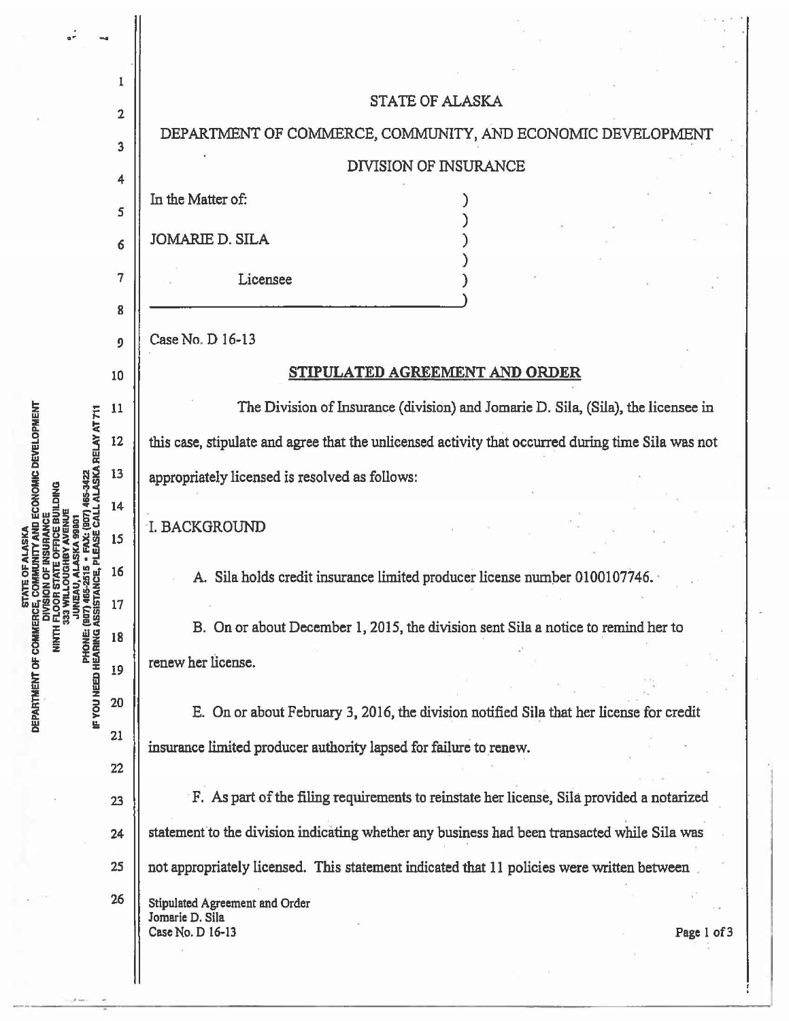

• I • *r*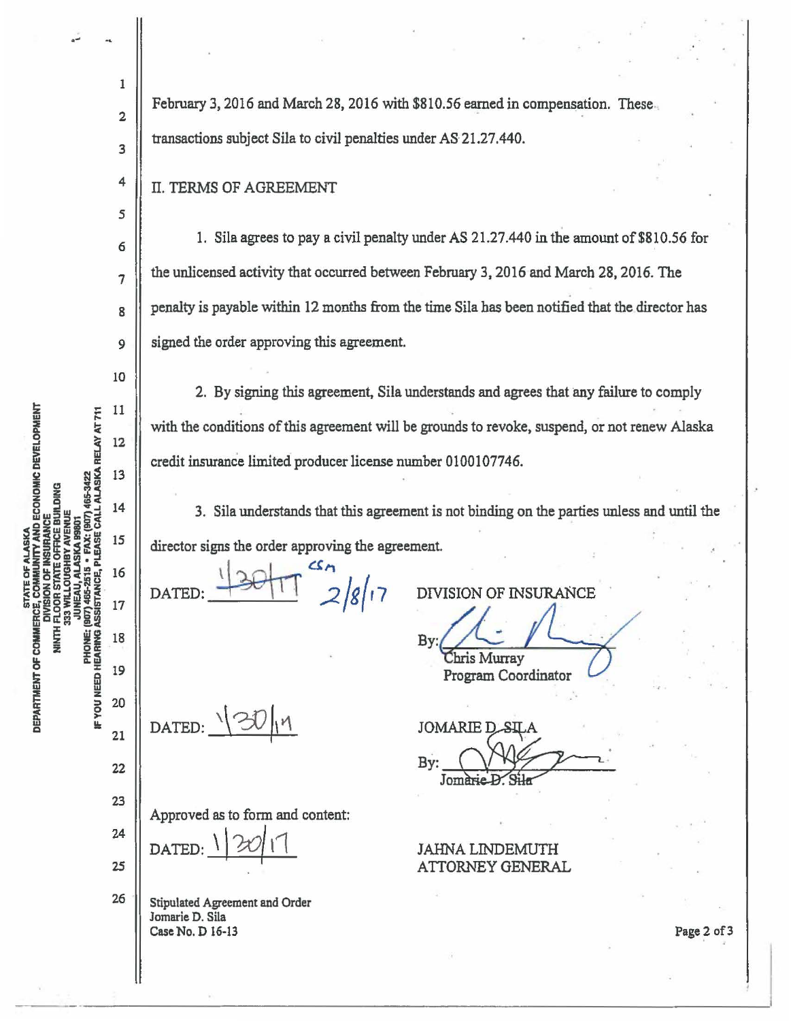STATE OF ALASKA<br>E, COMMUNITY AND ECONOMIC DEVELOPMENT PHONE: (907) 465-2515 • FAX: (907) 465-3422<br>IF YOU NEED HEARING ASSISTANCE, PLEASE CALL ALASKA RELAY AT 711 **INSURANCE<br>E OFFICE BUILDING** AVENUE DIVISION C<br>NNTH FLOOR ST/<br>SING ROOR ST/ DEPARTMENT OF COMMERCE,

....

1

February 3, 2016 and March 28, 2016 with \$810.56 earned in compensation. These 2 transactions subject Sila to civil penalties under AS·21.27.440. 3 4 II. TERMS OF AGREEMENT *5*  1. Sila agrees to pay a civil penalty under AS 21.27.440 in the amount of \$810.56 for 6 the unlicensed activity that occurred between February 3, 2016 and March 28, 2016. The 7 penalty is payable within 12 months from the time Sila has been notified that the director has 8 signed the order approving this agreement. 9 10 2. By signing this agreement, Sila understands and agrees that any failure to comply  $11$ with the conditions of this agreement will be grounds to revoke, suspend, or not renew Alaska 12 credit insurance limited producer license number 0100107746. 13 14 3. Sila understands that this agreement is not binding on the parties unless and until the director signs the order approving the age<br>DATED:  $\frac{1}{\sqrt{36}}$ 15 director signs the order approving the agreement. 16 DIVISION OF INSURANCE<br>By:<br>Ehris Murray<br>Program Coordinator DIVISION OF INSURANCE 17 18 19 Program Coordinator 20 DATED:  $\sqrt{30}$  $19$ 21  $\n By: \n  $\bigcirc$   $\bigcirc$   $\bigcirc$   $\bigcirc$   $\bigcirc$   $\bigcirc$   $\bigcirc$   $\bigcirc$   $\bigcirc$   $\bigcirc$   $\bigcirc$   $\bigcirc$   $\bigcirc$   $\bigcirc$   $\bigcirc$   $\bigcirc$   $\bigcirc$   $\bigcirc$   $\bigcirc$   $\bigcirc$   $\bigcirc$   $\bigcirc$   $\bigcirc$   $\bigcirc$   $\bigcirc$   $\bigcirc$   $\bigcirc$   $\bigcirc$   $\bigcirc$   $\bigcirc$   $\bigcirc$   $\bigcirc$   $\bigcirc$   $\bigcirc$   $\bigcirc$   $\$$ 22 23 Approved as to form and content:<br>DATED:  $\frac{1}{20}$  11 24 JAHNA LINDEMUTH *2S*  ATTORNEY GENERAL 26 Stipulated Agreement and Order Jomarie D. Sila Case No. D 16-13

Page 2 of 3